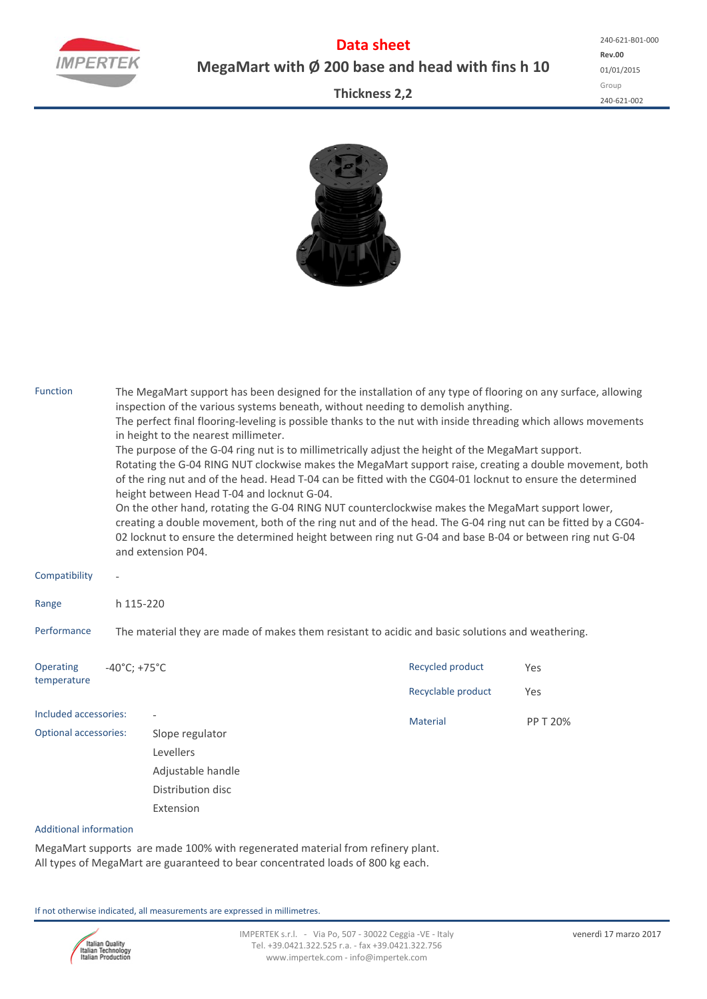

**Data sheet MegaMart with Ø 200 base and head with fins h 10**

**Rev.00** 01/01/2015 Group 240‐621‐002 240‐621‐B01‐000

## **Thickness 2,2**



| <b>Function</b>               | The MegaMart support has been designed for the installation of any type of flooring on any surface, allowing<br>inspection of the various systems beneath, without needing to demolish anything.<br>The perfect final flooring-leveling is possible thanks to the nut with inside threading which allows movements<br>in height to the nearest millimeter.<br>The purpose of the G-04 ring nut is to millimetrically adjust the height of the MegaMart support.<br>Rotating the G-04 RING NUT clockwise makes the MegaMart support raise, creating a double movement, both<br>of the ring nut and of the head. Head T-04 can be fitted with the CG04-01 locknut to ensure the determined<br>height between Head T-04 and locknut G-04.<br>On the other hand, rotating the G-04 RING NUT counterclockwise makes the MegaMart support lower,<br>creating a double movement, both of the ring nut and of the head. The G-04 ring nut can be fitted by a CG04-<br>02 locknut to ensure the determined height between ring nut G-04 and base B-04 or between ring nut G-04<br>and extension P04. |                                |                    |          |  |  |  |  |  |  |
|-------------------------------|---------------------------------------------------------------------------------------------------------------------------------------------------------------------------------------------------------------------------------------------------------------------------------------------------------------------------------------------------------------------------------------------------------------------------------------------------------------------------------------------------------------------------------------------------------------------------------------------------------------------------------------------------------------------------------------------------------------------------------------------------------------------------------------------------------------------------------------------------------------------------------------------------------------------------------------------------------------------------------------------------------------------------------------------------------------------------------------------|--------------------------------|--------------------|----------|--|--|--|--|--|--|
| Compatibility                 |                                                                                                                                                                                                                                                                                                                                                                                                                                                                                                                                                                                                                                                                                                                                                                                                                                                                                                                                                                                                                                                                                             |                                |                    |          |  |  |  |  |  |  |
| Range                         | h 115-220                                                                                                                                                                                                                                                                                                                                                                                                                                                                                                                                                                                                                                                                                                                                                                                                                                                                                                                                                                                                                                                                                   |                                |                    |          |  |  |  |  |  |  |
| Performance                   | The material they are made of makes them resistant to acidic and basic solutions and weathering.                                                                                                                                                                                                                                                                                                                                                                                                                                                                                                                                                                                                                                                                                                                                                                                                                                                                                                                                                                                            |                                |                    |          |  |  |  |  |  |  |
| Operating                     | $-40^{\circ}$ C; +75 $^{\circ}$ C                                                                                                                                                                                                                                                                                                                                                                                                                                                                                                                                                                                                                                                                                                                                                                                                                                                                                                                                                                                                                                                           |                                | Recycled product   | Yes      |  |  |  |  |  |  |
| temperature                   |                                                                                                                                                                                                                                                                                                                                                                                                                                                                                                                                                                                                                                                                                                                                                                                                                                                                                                                                                                                                                                                                                             |                                | Recyclable product | Yes      |  |  |  |  |  |  |
| Included accessories:         |                                                                                                                                                                                                                                                                                                                                                                                                                                                                                                                                                                                                                                                                                                                                                                                                                                                                                                                                                                                                                                                                                             |                                | Material           | PP T 20% |  |  |  |  |  |  |
| <b>Optional accessories:</b>  |                                                                                                                                                                                                                                                                                                                                                                                                                                                                                                                                                                                                                                                                                                                                                                                                                                                                                                                                                                                                                                                                                             | Slope regulator                |                    |          |  |  |  |  |  |  |
|                               |                                                                                                                                                                                                                                                                                                                                                                                                                                                                                                                                                                                                                                                                                                                                                                                                                                                                                                                                                                                                                                                                                             | Levellers<br>Adjustable handle |                    |          |  |  |  |  |  |  |
|                               |                                                                                                                                                                                                                                                                                                                                                                                                                                                                                                                                                                                                                                                                                                                                                                                                                                                                                                                                                                                                                                                                                             |                                |                    |          |  |  |  |  |  |  |
|                               |                                                                                                                                                                                                                                                                                                                                                                                                                                                                                                                                                                                                                                                                                                                                                                                                                                                                                                                                                                                                                                                                                             | Distribution disc              |                    |          |  |  |  |  |  |  |
|                               |                                                                                                                                                                                                                                                                                                                                                                                                                                                                                                                                                                                                                                                                                                                                                                                                                                                                                                                                                                                                                                                                                             | Extension                      |                    |          |  |  |  |  |  |  |
| <b>Additional information</b> |                                                                                                                                                                                                                                                                                                                                                                                                                                                                                                                                                                                                                                                                                                                                                                                                                                                                                                                                                                                                                                                                                             |                                |                    |          |  |  |  |  |  |  |

MegaMart supports are made 100% with regenerated material from refinery plant. All types of MegaMart are guaranteed to bear concentrated loads of 800 kg each.

If not otherwise indicated, all measurements are expressed in millimetres.